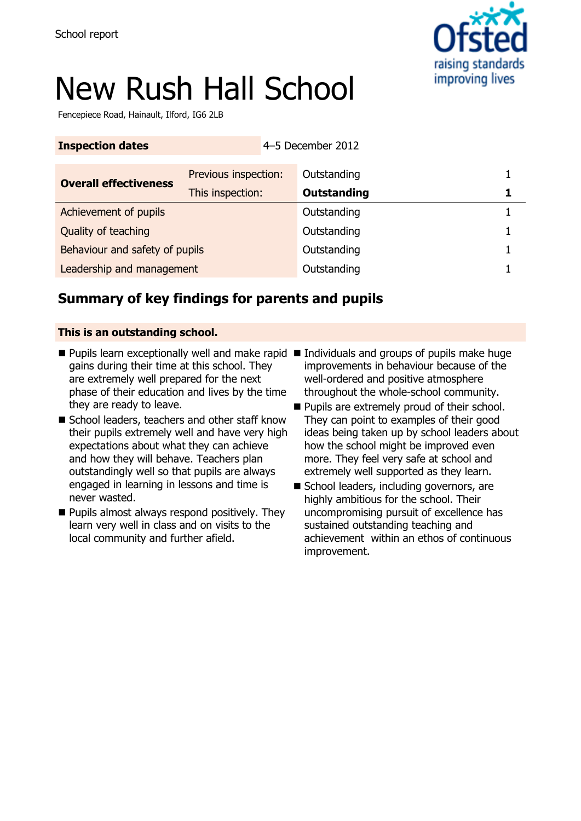

# New Rush Hall School

Fencepiece Road, Hainault, Ilford, IG6 2LB

| <b>Inspection dates</b>        |                      |  | 4-5 December 2012 |  |
|--------------------------------|----------------------|--|-------------------|--|
| <b>Overall effectiveness</b>   | Previous inspection: |  | Outstanding       |  |
|                                | This inspection:     |  | Outstanding       |  |
| Achievement of pupils          |                      |  | Outstanding       |  |
| Quality of teaching            |                      |  | Outstanding       |  |
| Behaviour and safety of pupils |                      |  | Outstanding       |  |
| Leadership and management      |                      |  | Outstanding       |  |

## **Summary of key findings for parents and pupils**

### **This is an outstanding school.**

- Pupils learn exceptionally well and make rapid Individuals and groups of pupils make huge gains during their time at this school. They are extremely well prepared for the next phase of their education and lives by the time they are ready to leave.
- School leaders, teachers and other staff know their pupils extremely well and have very high expectations about what they can achieve and how they will behave. Teachers plan outstandingly well so that pupils are always engaged in learning in lessons and time is never wasted.
- $\blacksquare$  Pupils almost always respond positively. They learn very well in class and on visits to the local community and further afield.
- improvements in behaviour because of the well-ordered and positive atmosphere throughout the whole-school community.
- **Pupils are extremely proud of their school.** They can point to examples of their good ideas being taken up by school leaders about how the school might be improved even more. They feel very safe at school and extremely well supported as they learn.
- School leaders, including governors, are highly ambitious for the school. Their uncompromising pursuit of excellence has sustained outstanding teaching and achievement within an ethos of continuous improvement.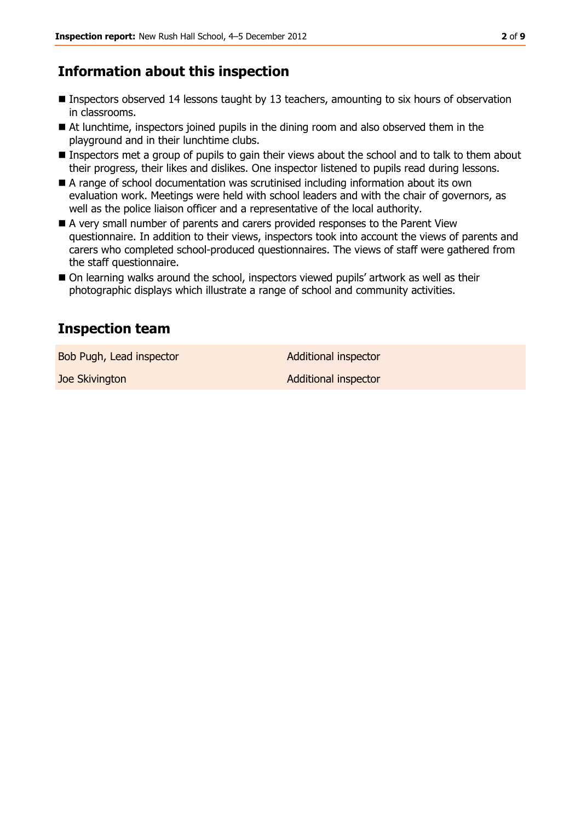## **Information about this inspection**

- Inspectors observed 14 lessons taught by 13 teachers, amounting to six hours of observation in classrooms.
- At lunchtime, inspectors joined pupils in the dining room and also observed them in the playground and in their lunchtime clubs.
- Inspectors met a group of pupils to gain their views about the school and to talk to them about their progress, their likes and dislikes. One inspector listened to pupils read during lessons.
- A range of school documentation was scrutinised including information about its own evaluation work. Meetings were held with school leaders and with the chair of governors, as well as the police liaison officer and a representative of the local authority.
- A very small number of parents and carers provided responses to the Parent View questionnaire. In addition to their views, inspectors took into account the views of parents and carers who completed school-produced questionnaires. The views of staff were gathered from the staff questionnaire.
- On learning walks around the school, inspectors viewed pupils' artwork as well as their photographic displays which illustrate a range of school and community activities.

## **Inspection team**

Bob Pugh, Lead inspector **Additional inspector** 

**Joe Skivington Additional inspector** Additional inspector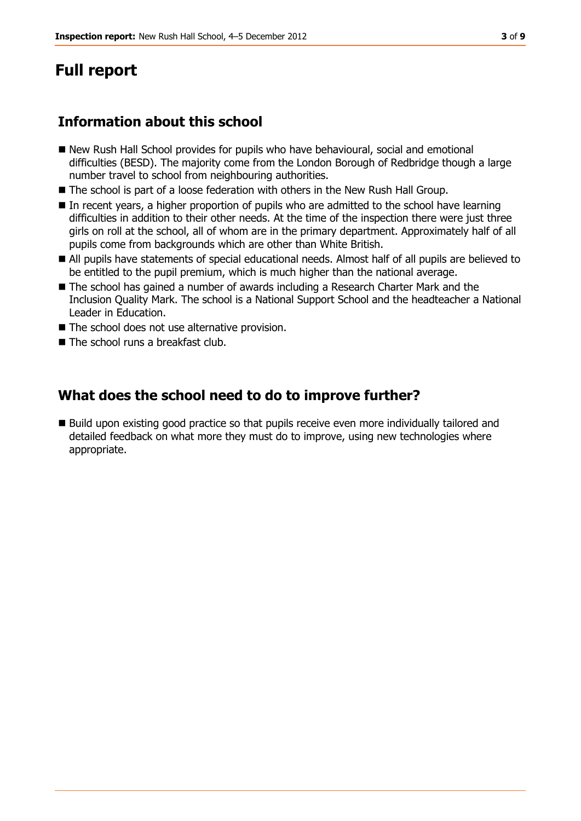## **Full report**

## **Information about this school**

- New Rush Hall School provides for pupils who have behavioural, social and emotional difficulties (BESD). The majority come from the London Borough of Redbridge though a large number travel to school from neighbouring authorities.
- The school is part of a loose federation with others in the New Rush Hall Group.
- In recent years, a higher proportion of pupils who are admitted to the school have learning difficulties in addition to their other needs. At the time of the inspection there were just three girls on roll at the school, all of whom are in the primary department. Approximately half of all pupils come from backgrounds which are other than White British.
- All pupils have statements of special educational needs. Almost half of all pupils are believed to be entitled to the pupil premium, which is much higher than the national average.
- The school has gained a number of awards including a Research Charter Mark and the Inclusion Quality Mark. The school is a National Support School and the headteacher a National Leader in Education.
- The school does not use alternative provision.
- The school runs a breakfast club.

## **What does the school need to do to improve further?**

■ Build upon existing good practice so that pupils receive even more individually tailored and detailed feedback on what more they must do to improve, using new technologies where appropriate.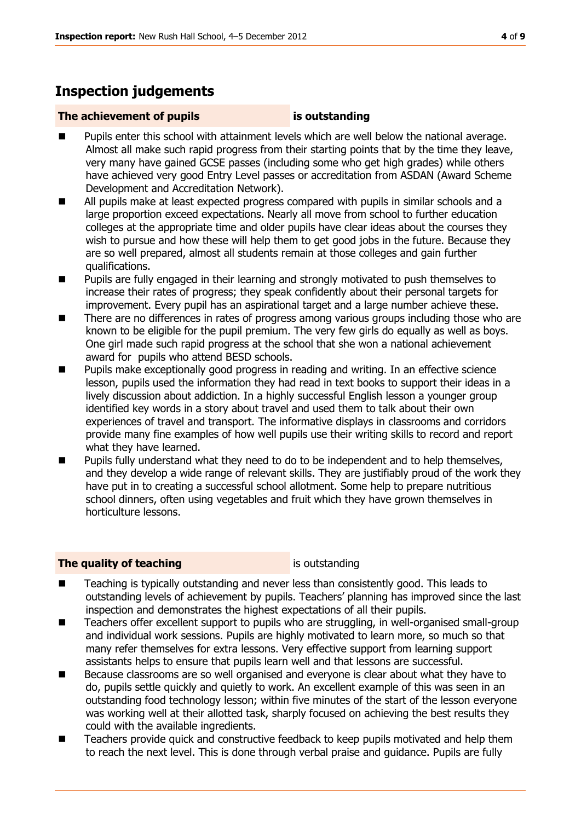## **Inspection judgements**

#### **The achievement of pupils is outstanding**

- Pupils enter this school with attainment levels which are well below the national average. Almost all make such rapid progress from their starting points that by the time they leave, very many have gained GCSE passes (including some who get high grades) while others have achieved very good Entry Level passes or accreditation from ASDAN (Award Scheme Development and Accreditation Network).
- All pupils make at least expected progress compared with pupils in similar schools and a large proportion exceed expectations. Nearly all move from school to further education colleges at the appropriate time and older pupils have clear ideas about the courses they wish to pursue and how these will help them to get good jobs in the future. Because they are so well prepared, almost all students remain at those colleges and gain further qualifications.
- **Pupils are fully engaged in their learning and strongly motivated to push themselves to** increase their rates of progress; they speak confidently about their personal targets for improvement. Every pupil has an aspirational target and a large number achieve these.
- There are no differences in rates of progress among various groups including those who are known to be eligible for the pupil premium. The very few girls do equally as well as boys. One girl made such rapid progress at the school that she won a national achievement award for pupils who attend BESD schools.
- Pupils make exceptionally good progress in reading and writing. In an effective science lesson, pupils used the information they had read in text books to support their ideas in a lively discussion about addiction. In a highly successful English lesson a younger group identified key words in a story about travel and used them to talk about their own experiences of travel and transport. The informative displays in classrooms and corridors provide many fine examples of how well pupils use their writing skills to record and report what they have learned.
- **Pupils fully understand what they need to do to be independent and to help themselves,** and they develop a wide range of relevant skills. They are justifiably proud of the work they have put in to creating a successful school allotment. Some help to prepare nutritious school dinners, often using vegetables and fruit which they have grown themselves in horticulture lessons.

### **The quality of teaching is outstanding**

- Teaching is typically outstanding and never less than consistently good. This leads to outstanding levels of achievement by pupils. Teachers' planning has improved since the last inspection and demonstrates the highest expectations of all their pupils.
- Teachers offer excellent support to pupils who are struggling, in well-organised small-group and individual work sessions. Pupils are highly motivated to learn more, so much so that many refer themselves for extra lessons. Very effective support from learning support assistants helps to ensure that pupils learn well and that lessons are successful.
- Because classrooms are so well organised and everyone is clear about what they have to do, pupils settle quickly and quietly to work. An excellent example of this was seen in an outstanding food technology lesson; within five minutes of the start of the lesson everyone was working well at their allotted task, sharply focused on achieving the best results they could with the available ingredients.
- Teachers provide quick and constructive feedback to keep pupils motivated and help them to reach the next level. This is done through verbal praise and guidance. Pupils are fully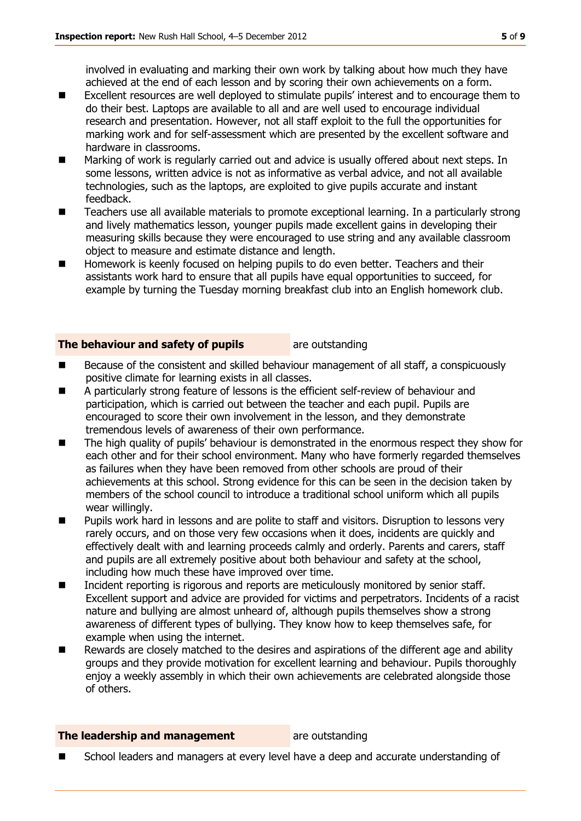involved in evaluating and marking their own work by talking about how much they have achieved at the end of each lesson and by scoring their own achievements on a form.

- Excellent resources are well deployed to stimulate pupils' interest and to encourage them to do their best. Laptops are available to all and are well used to encourage individual research and presentation. However, not all staff exploit to the full the opportunities for marking work and for self-assessment which are presented by the excellent software and hardware in classrooms.
- Marking of work is regularly carried out and advice is usually offered about next steps. In some lessons, written advice is not as informative as verbal advice, and not all available technologies, such as the laptops, are exploited to give pupils accurate and instant feedback.
- Teachers use all available materials to promote exceptional learning. In a particularly strong and lively mathematics lesson, younger pupils made excellent gains in developing their measuring skills because they were encouraged to use string and any available classroom object to measure and estimate distance and length.
- Homework is keenly focused on helping pupils to do even better. Teachers and their assistants work hard to ensure that all pupils have equal opportunities to succeed, for example by turning the Tuesday morning breakfast club into an English homework club.

#### **The behaviour and safety of pupils** are outstanding

- Because of the consistent and skilled behaviour management of all staff, a conspicuously positive climate for learning exists in all classes.
- A particularly strong feature of lessons is the efficient self-review of behaviour and participation, which is carried out between the teacher and each pupil. Pupils are encouraged to score their own involvement in the lesson, and they demonstrate tremendous levels of awareness of their own performance.
- The high quality of pupils' behaviour is demonstrated in the enormous respect they show for each other and for their school environment. Many who have formerly regarded themselves as failures when they have been removed from other schools are proud of their achievements at this school. Strong evidence for this can be seen in the decision taken by members of the school council to introduce a traditional school uniform which all pupils wear willingly.
- Pupils work hard in lessons and are polite to staff and visitors. Disruption to lessons very rarely occurs, and on those very few occasions when it does, incidents are quickly and effectively dealt with and learning proceeds calmly and orderly. Parents and carers, staff and pupils are all extremely positive about both behaviour and safety at the school, including how much these have improved over time.
- Incident reporting is rigorous and reports are meticulously monitored by senior staff. Excellent support and advice are provided for victims and perpetrators. Incidents of a racist nature and bullying are almost unheard of, although pupils themselves show a strong awareness of different types of bullying. They know how to keep themselves safe, for example when using the internet.
- Rewards are closely matched to the desires and aspirations of the different age and ability groups and they provide motivation for excellent learning and behaviour. Pupils thoroughly enjoy a weekly assembly in which their own achievements are celebrated alongside those of others.

#### **The leadership and management** are outstanding

School leaders and managers at every level have a deep and accurate understanding of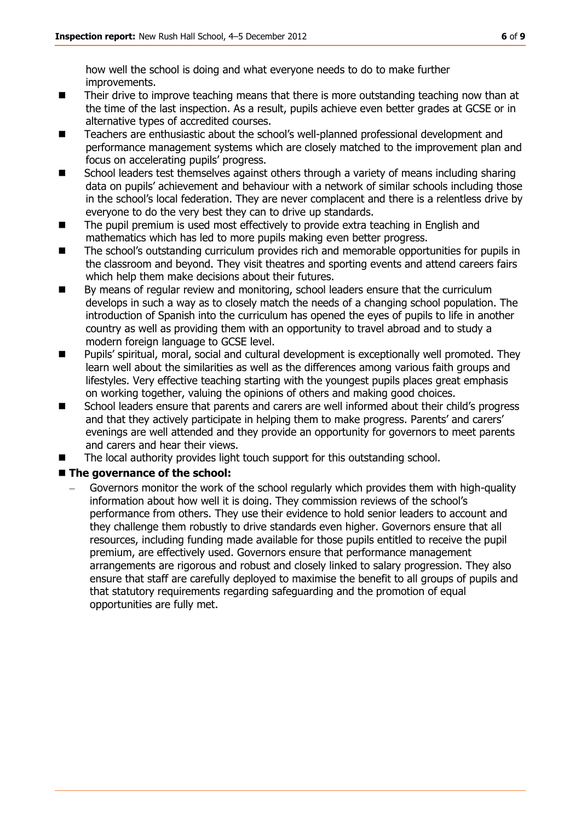how well the school is doing and what everyone needs to do to make further improvements.

- Their drive to improve teaching means that there is more outstanding teaching now than at the time of the last inspection. As a result, pupils achieve even better grades at GCSE or in alternative types of accredited courses.
- Teachers are enthusiastic about the school's well-planned professional development and performance management systems which are closely matched to the improvement plan and focus on accelerating pupils' progress.
- School leaders test themselves against others through a variety of means including sharing data on pupils' achievement and behaviour with a network of similar schools including those in the school's local federation. They are never complacent and there is a relentless drive by everyone to do the very best they can to drive up standards.
- The pupil premium is used most effectively to provide extra teaching in English and mathematics which has led to more pupils making even better progress.
- The school's outstanding curriculum provides rich and memorable opportunities for pupils in the classroom and beyond. They visit theatres and sporting events and attend careers fairs which help them make decisions about their futures.
- By means of regular review and monitoring, school leaders ensure that the curriculum develops in such a way as to closely match the needs of a changing school population. The introduction of Spanish into the curriculum has opened the eyes of pupils to life in another country as well as providing them with an opportunity to travel abroad and to study a modern foreign language to GCSE level.
- **Pupils' spiritual, moral, social and cultural development is exceptionally well promoted. They** learn well about the similarities as well as the differences among various faith groups and lifestyles. Very effective teaching starting with the youngest pupils places great emphasis on working together, valuing the opinions of others and making good choices.
- School leaders ensure that parents and carers are well informed about their child's progress and that they actively participate in helping them to make progress. Parents' and carers' evenings are well attended and they provide an opportunity for governors to meet parents and carers and hear their views.
- The local authority provides light touch support for this outstanding school.

### ■ The governance of the school:

Governors monitor the work of the school regularly which provides them with high-quality information about how well it is doing. They commission reviews of the school's performance from others. They use their evidence to hold senior leaders to account and they challenge them robustly to drive standards even higher. Governors ensure that all resources, including funding made available for those pupils entitled to receive the pupil premium, are effectively used. Governors ensure that performance management arrangements are rigorous and robust and closely linked to salary progression. They also ensure that staff are carefully deployed to maximise the benefit to all groups of pupils and that statutory requirements regarding safeguarding and the promotion of equal opportunities are fully met.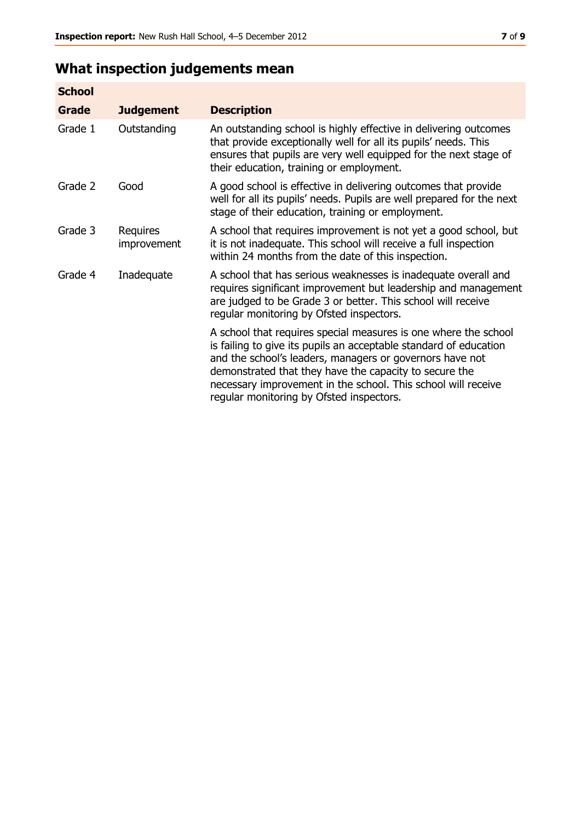## **What inspection judgements mean**

| <b>School</b> |                         |                                                                                                                                                                                                                                                                                                                                                                         |
|---------------|-------------------------|-------------------------------------------------------------------------------------------------------------------------------------------------------------------------------------------------------------------------------------------------------------------------------------------------------------------------------------------------------------------------|
| Grade         | <b>Judgement</b>        | <b>Description</b>                                                                                                                                                                                                                                                                                                                                                      |
| Grade 1       | Outstanding             | An outstanding school is highly effective in delivering outcomes<br>that provide exceptionally well for all its pupils' needs. This<br>ensures that pupils are very well equipped for the next stage of<br>their education, training or employment.                                                                                                                     |
| Grade 2       | Good                    | A good school is effective in delivering outcomes that provide<br>well for all its pupils' needs. Pupils are well prepared for the next<br>stage of their education, training or employment.                                                                                                                                                                            |
| Grade 3       | Requires<br>improvement | A school that requires improvement is not yet a good school, but<br>it is not inadequate. This school will receive a full inspection<br>within 24 months from the date of this inspection.                                                                                                                                                                              |
| Grade 4       | Inadequate              | A school that has serious weaknesses is inadequate overall and<br>requires significant improvement but leadership and management<br>are judged to be Grade 3 or better. This school will receive<br>regular monitoring by Ofsted inspectors.                                                                                                                            |
|               |                         | A school that requires special measures is one where the school<br>is failing to give its pupils an acceptable standard of education<br>and the school's leaders, managers or governors have not<br>demonstrated that they have the capacity to secure the<br>necessary improvement in the school. This school will receive<br>regular monitoring by Ofsted inspectors. |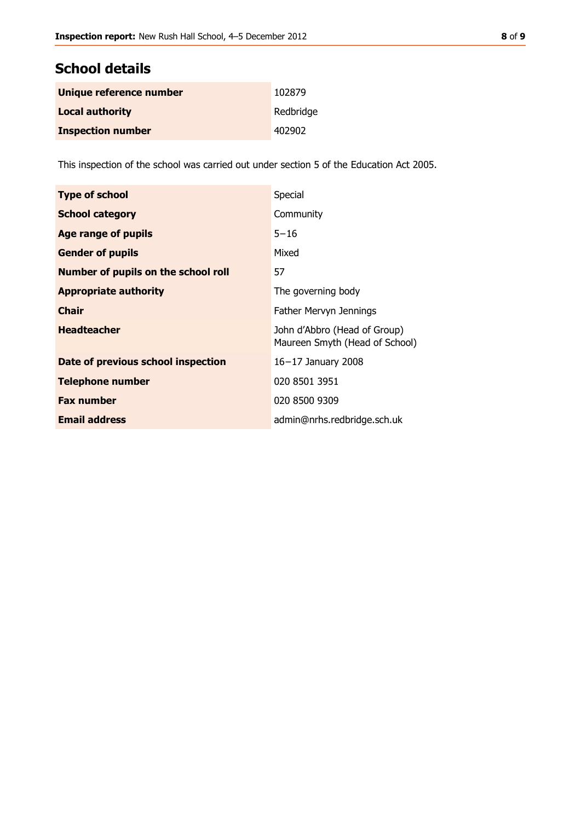## **School details**

| Unique reference number  | 102879    |
|--------------------------|-----------|
| <b>Local authority</b>   | Redbridge |
| <b>Inspection number</b> | 402902    |

This inspection of the school was carried out under section 5 of the Education Act 2005.

| <b>Type of school</b>               | Special                                                        |
|-------------------------------------|----------------------------------------------------------------|
| <b>School category</b>              | Community                                                      |
| Age range of pupils                 | $5 - 16$                                                       |
| <b>Gender of pupils</b>             | Mixed                                                          |
| Number of pupils on the school roll | 57                                                             |
| <b>Appropriate authority</b>        | The governing body                                             |
| <b>Chair</b>                        | Father Mervyn Jennings                                         |
| <b>Headteacher</b>                  | John d'Abbro (Head of Group)<br>Maureen Smyth (Head of School) |
| Date of previous school inspection  | $16-17$ January 2008                                           |
| <b>Telephone number</b>             | 020 8501 3951                                                  |
| <b>Fax number</b>                   | 020 8500 9309                                                  |
| <b>Email address</b>                | admin@nrhs.redbridge.sch.uk                                    |